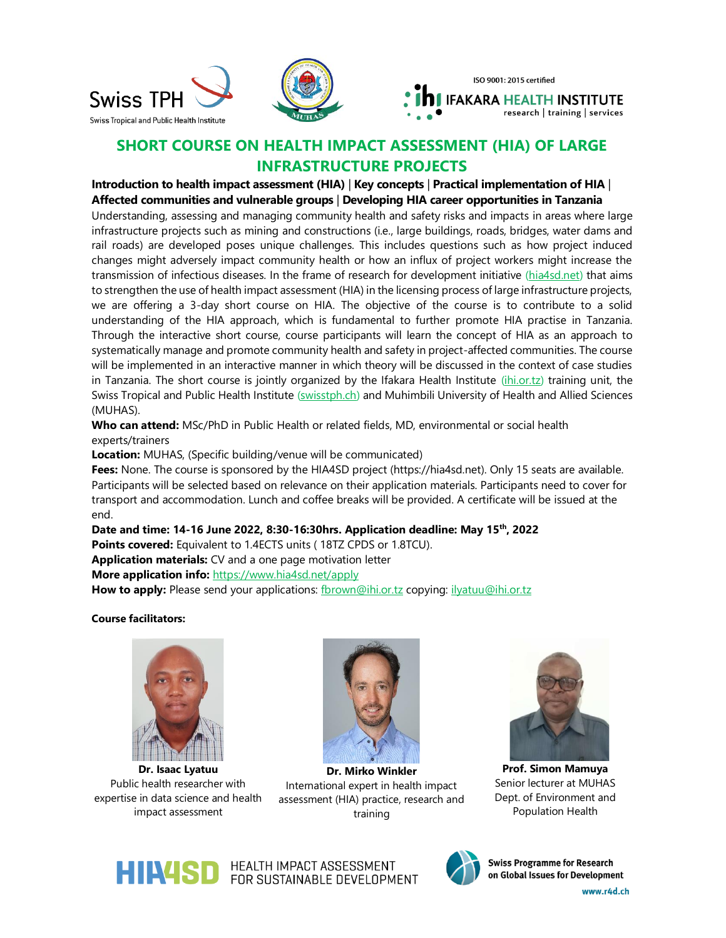

## **SHORT COURSE ON HEALTH IMPACT ASSESSMENT (HIA) OF LARGE INFRASTRUCTURE PROJECTS**

**Introduction to health impact assessment (HIA)** | **Key concepts** | **Practical implementation of HIA** | **Affected communities and vulnerable groups** | **Developing HIA career opportunities in Tanzania**

Understanding, assessing and managing community health and safety risks and impacts in areas where large infrastructure projects such as mining and constructions (i.e., large buildings, roads, bridges, water dams and rail roads) are developed poses unique challenges. This includes questions such as how project induced changes might adversely impact community health or how an influx of project workers might increase the transmission of infectious diseases. In the frame of research for development initiative [\(hia4sd.net\)](http://hia4sd.net/) that aims to strengthen the use of health impact assessment (HIA) in the licensing process of large infrastructure projects, we are offering a 3-day short course on HIA. The objective of the course is to contribute to a solid understanding of the HIA approach, which is fundamental to further promote HIA practise in Tanzania. Through the interactive short course, course participants will learn the concept of HIA as an approach to systematically manage and promote community health and safety in project-affected communities. The course will be implemented in an interactive manner in which theory will be discussed in the context of case studies in Tanzania. The short course is jointly organized by the Ifakara Health Institute [\(ihi.or.tz\)](https://ihi.or.tz/) training unit, the Swiss Tropical and Public Health Institute [\(swisstph.ch\)](http://www.swisstph.ch/) and Muhimbili University of Health and Allied Sciences (MUHAS).

**Who can attend:** MSc/PhD in Public Health or related fields, MD, environmental or social health experts/trainers

**Location:** MUHAS, (Specific building/venue will be communicated)

**Fees:** None. The course is sponsored by the HIA4SD project (https://hia4sd.net). Only 15 seats are available. Participants will be selected based on relevance on their application materials. Participants need to cover for transport and accommodation. Lunch and coffee breaks will be provided. A certificate will be issued at the end.

**Date and time: 14-16 June 2022, 8:30-16:30hrs. Application deadline: May 15th, 2022 Points covered:** Equivalent to 1.4ECTS units ( 18TZ CPDS or 1.8TCU). **Application materials:** CV and a one page motivation letter **More application info:** <https://www.hia4sd.net/apply>

How to apply: Please send your applications: [fbrown@ihi.or.tz](mailto:fbrown@ihi.or.tz) copying: [ilyatuu@ihi.or.tz](mailto:ilyatuu@ihi.or.tz)

**Course facilitators:**



**Dr. Isaac Lyatuu** Public health researcher with expertise in data science and health impact assessment



**Dr. Mirko Winkler** International expert in health impact assessment (HIA) practice, research and training



**Prof. Simon Mamuya** Senior lecturer at MUHAS Dept. of Environment and Population Health



**HINASD** HEALTH IMPACT ASSESSMENT FOR SUSTAINABLE DEVELOPMENT



**Swiss Programme for Research** on Global Issues for Development